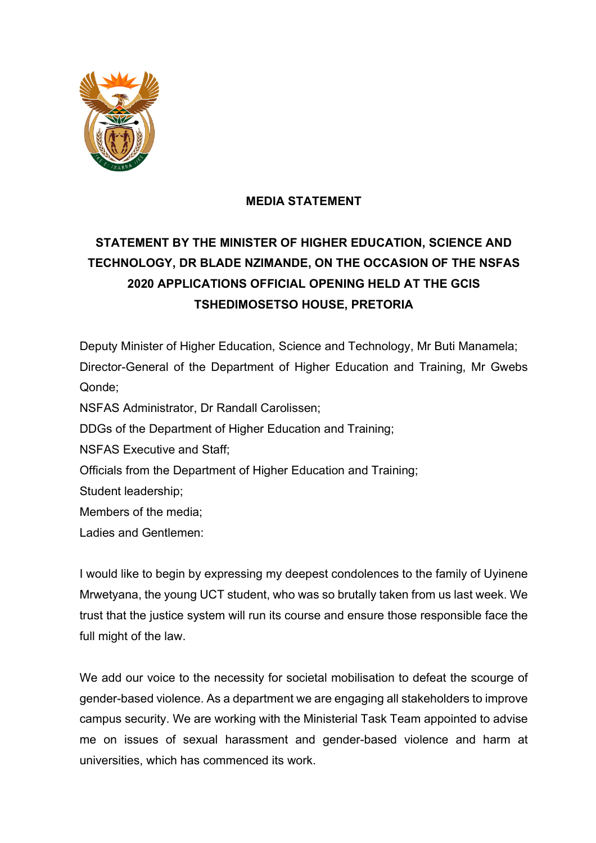

## **MEDIA STATEMENT**

## **STATEMENT BY THE MINISTER OF HIGHER EDUCATION, SCIENCE AND TECHNOLOGY, DR BLADE NZIMANDE, ON THE OCCASION OF THE NSFAS 2020 APPLICATIONS OFFICIAL OPENING HELD AT THE GCIS TSHEDIMOSETSO HOUSE, PRETORIA**

Deputy Minister of Higher Education, Science and Technology, Mr Buti Manamela; Director-General of the Department of Higher Education and Training, Mr Gwebs Qonde;

NSFAS Administrator, Dr Randall Carolissen;

DDGs of the Department of Higher Education and Training;

NSFAS Executive and Staff;

Officials from the Department of Higher Education and Training;

Student leadership;

Members of the media;

Ladies and Gentlemen:

I would like to begin by expressing my deepest condolences to the family of Uyinene Mrwetyana, the young UCT student, who was so brutally taken from us last week. We trust that the justice system will run its course and ensure those responsible face the full might of the law.

We add our voice to the necessity for societal mobilisation to defeat the scourge of gender-based violence. As a department we are engaging all stakeholders to improve campus security. We are working with the Ministerial Task Team appointed to advise me on issues of sexual harassment and gender-based violence and harm at universities, which has commenced its work.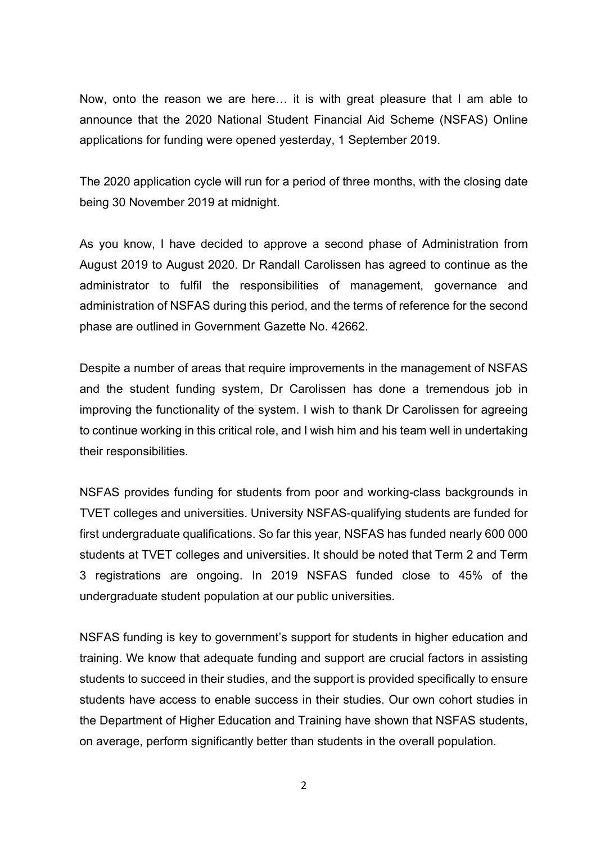Now, onto the reason we are here… it is with great pleasure that I am able to announce that the 2020 National Student Financial Aid Scheme (NSFAS) Online applications for funding were opened yesterday, 1 September 2019.

The 2020 application cycle will run for a period of three months, with the closing date being 30 November 2019 at midnight.

As you know, I have decided to approve a second phase of Administration from August 2019 to August 2020. Dr Randall Carolissen has agreed to continue as the administrator to fulfil the responsibilities of management, governance and administration of NSFAS during this period, and the terms of reference for the second phase are outlined in Government Gazette No. 42662.

Despite a number of areas that require improvements in the management of NSFAS and the student funding system, Dr Carolissen has done a tremendous job in improving the functionality of the system. I wish to thank Dr Carolissen for agreeing to continue working in this critical role, and I wish him and his team well in undertaking their responsibilities.

NSFAS provides funding for students from poor and working-class backgrounds in TVET colleges and universities. University NSFAS-qualifying students are funded for first undergraduate qualifications. So far this year, NSFAS has funded nearly 600 000 students at TVET colleges and universities. It should be noted that Term 2 and Term 3 registrations are ongoing. In 2019 NSFAS funded close to 45% of the undergraduate student population at our public universities.

NSFAS funding is key to government's support for students in higher education and training. We know that adequate funding and support are crucial factors in assisting students to succeed in their studies, and the support is provided specifically to ensure students have access to enable success in their studies. Our own cohort studies in the Department of Higher Education and Training have shown that NSFAS students, on average, perform significantly better than students in the overall population.

 $\overline{2}$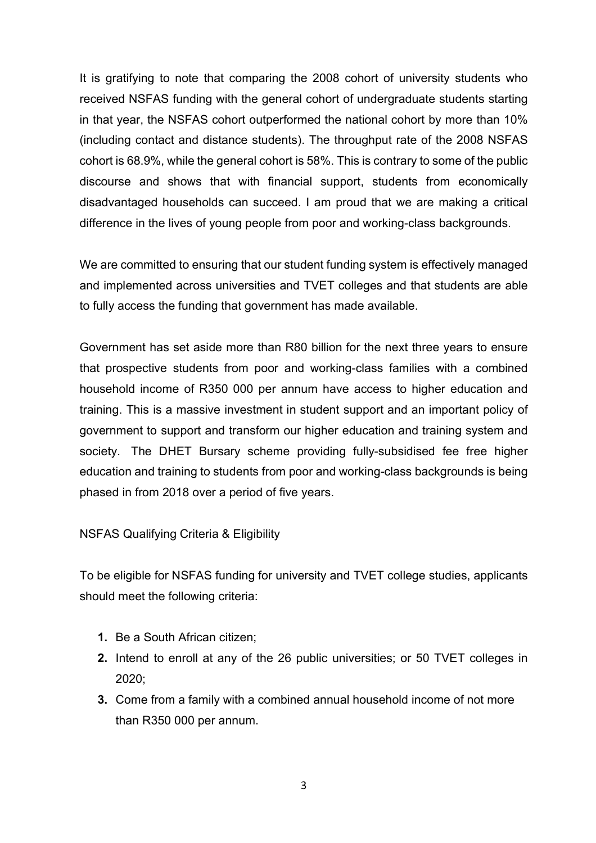It is gratifying to note that comparing the 2008 cohort of university students who received NSFAS funding with the general cohort of undergraduate students starting in that year, the NSFAS cohort outperformed the national cohort by more than 10% (including contact and distance students). The throughput rate of the 2008 NSFAS cohort is 68.9%, while the general cohort is 58%. This is contrary to some of the public discourse and shows that with financial support, students from economically disadvantaged households can succeed. I am proud that we are making a critical difference in the lives of young people from poor and working-class backgrounds.

We are committed to ensuring that our student funding system is effectively managed and implemented across universities and TVET colleges and that students are able to fully access the funding that government has made available.

Government has set aside more than R80 billion for the next three years to ensure that prospective students from poor and working-class families with a combined household income of R350 000 per annum have access to higher education and training. This is a massive investment in student support and an important policy of government to support and transform our higher education and training system and society. The DHET Bursary scheme providing fully-subsidised fee free higher education and training to students from poor and working-class backgrounds is being phased in from 2018 over a period of five years.

## NSFAS Qualifying Criteria & Eligibility

To be eligible for NSFAS funding for university and TVET college studies, applicants should meet the following criteria:

- **1.** Be a South African citizen;
- **2.** Intend to enroll at any of the 26 public universities; or 50 TVET colleges in 2020;
- **3.** Come from a family with a combined annual household income of not more than R350 000 per annum.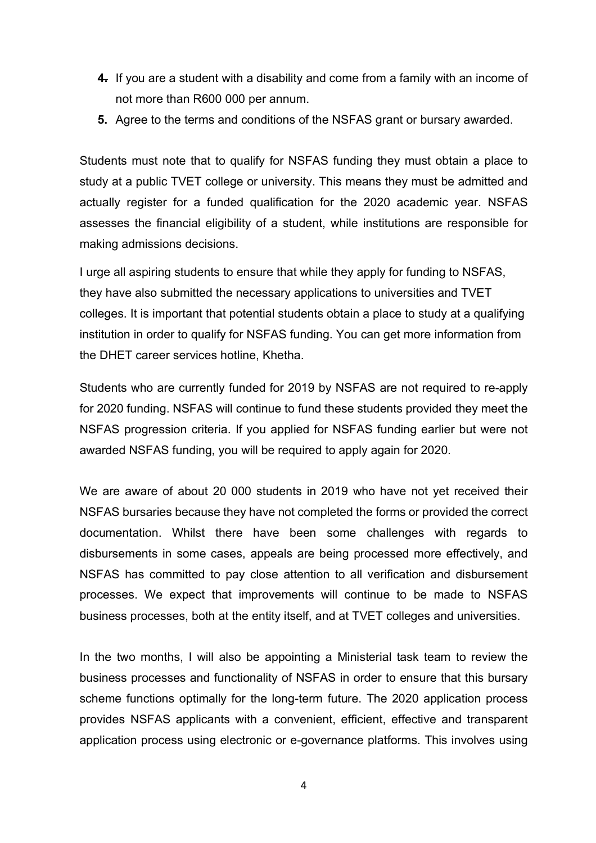- **4.** If you are a student with a disability and come from a family with an income of not more than R600 000 per annum.
- **5.** Agree to the terms and conditions of the NSFAS grant or bursary awarded.

Students must note that to qualify for NSFAS funding they must obtain a place to study at a public TVET college or university. This means they must be admitted and actually register for a funded qualification for the 2020 academic year. NSFAS assesses the financial eligibility of a student, while institutions are responsible for making admissions decisions.

I urge all aspiring students to ensure that while they apply for funding to NSFAS, they have also submitted the necessary applications to universities and TVET colleges. It is important that potential students obtain a place to study at a qualifying institution in order to qualify for NSFAS funding. You can get more information from the DHET career services hotline, Khetha.

Students who are currently funded for 2019 by NSFAS are not required to re-apply for 2020 funding. NSFAS will continue to fund these students provided they meet the NSFAS progression criteria. If you applied for NSFAS funding earlier but were not awarded NSFAS funding, you will be required to apply again for 2020.

We are aware of about 20 000 students in 2019 who have not yet received their NSFAS bursaries because they have not completed the forms or provided the correct documentation. Whilst there have been some challenges with regards to disbursements in some cases, appeals are being processed more effectively, and NSFAS has committed to pay close attention to all verification and disbursement processes. We expect that improvements will continue to be made to NSFAS business processes, both at the entity itself, and at TVET colleges and universities.

In the two months, I will also be appointing a Ministerial task team to review the business processes and functionality of NSFAS in order to ensure that this bursary scheme functions optimally for the long-term future. The 2020 application process provides NSFAS applicants with a convenient, efficient, effective and transparent application process using electronic or e-governance platforms. This involves using